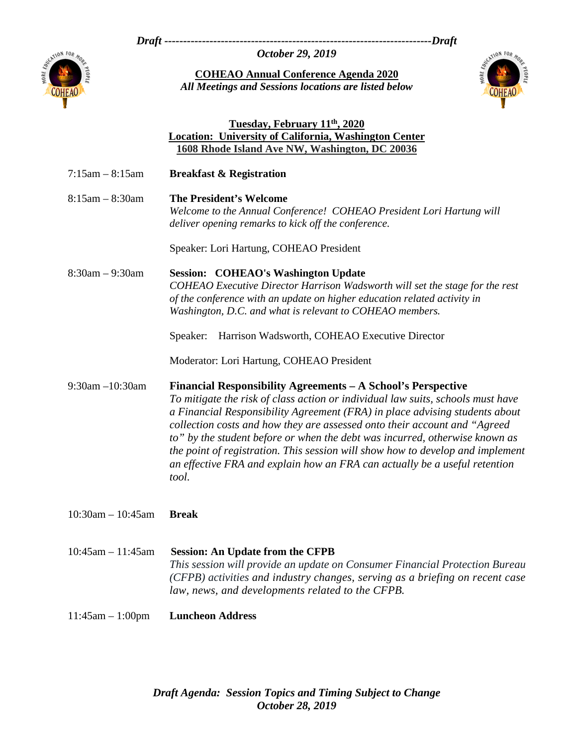*Draft -----------------------------------------------------------------------Draft* 

*October 29, 2019* 



**COHEAO Annual Conference Agenda 2020**  *All Meetings and Sessions locations are listed below* 



## **Tuesday, February 11th, 2020 Location: University of California, Washington Center 1608 Rhode Island Ave NW, Washington, DC 20036**

| $7:15am - 8:15am$       | <b>Breakfast &amp; Registration</b>                                                                                                                                                                                                                                                                                                                                                                                                                                                                                                                                 |
|-------------------------|---------------------------------------------------------------------------------------------------------------------------------------------------------------------------------------------------------------------------------------------------------------------------------------------------------------------------------------------------------------------------------------------------------------------------------------------------------------------------------------------------------------------------------------------------------------------|
| $8:15am - 8:30am$       | <b>The President's Welcome</b><br>Welcome to the Annual Conference! COHEAO President Lori Hartung will<br>deliver opening remarks to kick off the conference.                                                                                                                                                                                                                                                                                                                                                                                                       |
|                         | Speaker: Lori Hartung, COHEAO President                                                                                                                                                                                                                                                                                                                                                                                                                                                                                                                             |
| $8:30am - 9:30am$       | <b>Session: COHEAO's Washington Update</b><br>COHEAO Executive Director Harrison Wadsworth will set the stage for the rest<br>of the conference with an update on higher education related activity in<br>Washington, D.C. and what is relevant to COHEAO members.                                                                                                                                                                                                                                                                                                  |
|                         | Harrison Wadsworth, COHEAO Executive Director<br>Speaker:                                                                                                                                                                                                                                                                                                                                                                                                                                                                                                           |
|                         | Moderator: Lori Hartung, COHEAO President                                                                                                                                                                                                                                                                                                                                                                                                                                                                                                                           |
| 9:30am -10:30am         | Financial Responsibility Agreements - A School's Perspective<br>To mitigate the risk of class action or individual law suits, schools must have<br>a Financial Responsibility Agreement (FRA) in place advising students about<br>collection costs and how they are assessed onto their account and "Agreed<br>to" by the student before or when the debt was incurred, otherwise known as<br>the point of registration. This session will show how to develop and implement<br>an effective FRA and explain how an FRA can actually be a useful retention<br>tool. |
| $10:30$ am $- 10:45$ am | <b>Break</b>                                                                                                                                                                                                                                                                                                                                                                                                                                                                                                                                                        |
| $10:45am - 11:45am$     | <b>Session: An Update from the CFPB</b><br>This session will provide an update on Consumer Financial Protection Bureau<br>(CFPB) activities and industry changes, serving as a briefing on recent case<br>law, news, and developments related to the CFPB.                                                                                                                                                                                                                                                                                                          |
| $11:45am - 1:00pm$      | <b>Luncheon Address</b>                                                                                                                                                                                                                                                                                                                                                                                                                                                                                                                                             |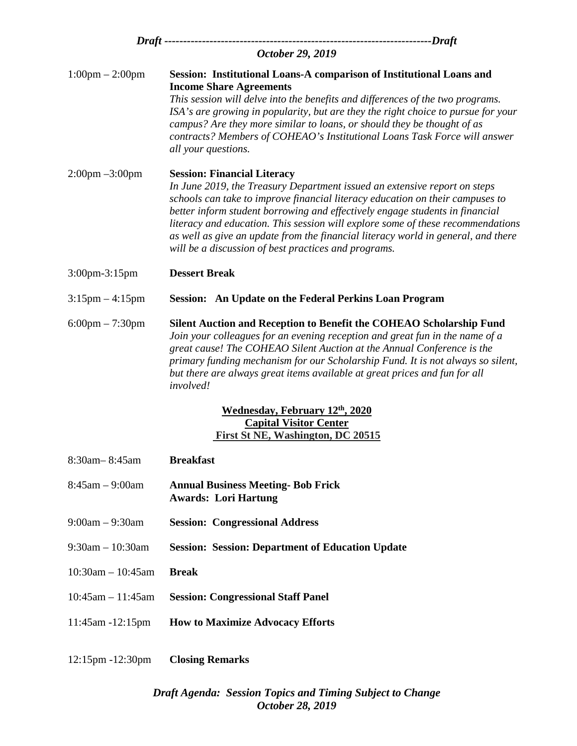|                                   | -----------------------------Draft                                                                                                                                                                                                                                                                                                                                                                                                                                                                               |
|-----------------------------------|------------------------------------------------------------------------------------------------------------------------------------------------------------------------------------------------------------------------------------------------------------------------------------------------------------------------------------------------------------------------------------------------------------------------------------------------------------------------------------------------------------------|
| October 29, 2019                  |                                                                                                                                                                                                                                                                                                                                                                                                                                                                                                                  |
| $1:00 \text{pm} - 2:00 \text{pm}$ | Session: Institutional Loans-A comparison of Institutional Loans and<br><b>Income Share Agreements</b><br>This session will delve into the benefits and differences of the two programs.<br>ISA's are growing in popularity, but are they the right choice to pursue for your<br>campus? Are they more similar to loans, or should they be thought of as<br>contracts? Members of COHEAO's Institutional Loans Task Force will answer<br>all your questions.                                                     |
| $2:00 \text{pm} -3:00 \text{pm}$  | <b>Session: Financial Literacy</b><br>In June 2019, the Treasury Department issued an extensive report on steps<br>schools can take to improve financial literacy education on their campuses to<br>better inform student borrowing and effectively engage students in financial<br>literacy and education. This session will explore some of these recommendations<br>as well as give an update from the financial literacy world in general, and there<br>will be a discussion of best practices and programs. |
| 3:00pm-3:15pm                     | <b>Dessert Break</b>                                                                                                                                                                                                                                                                                                                                                                                                                                                                                             |
| $3:15 \text{pm} - 4:15 \text{pm}$ | Session: An Update on the Federal Perkins Loan Program                                                                                                                                                                                                                                                                                                                                                                                                                                                           |
| $6:00 \text{pm} - 7:30 \text{pm}$ | Silent Auction and Reception to Benefit the COHEAO Scholarship Fund<br>Join your colleagues for an evening reception and great fun in the name of a<br>great cause! The COHEAO Silent Auction at the Annual Conference is the<br>primary funding mechanism for our Scholarship Fund. It is not always so silent,<br>but there are always great items available at great prices and fun for all<br>involved!                                                                                                      |
|                                   | <b>Wednesday, February 12th, 2020</b><br><b>Capital Visitor Center</b><br>First St NE, Washington, DC 20515                                                                                                                                                                                                                                                                                                                                                                                                      |
| 8:30am-8:45am                     | <b>Breakfast</b>                                                                                                                                                                                                                                                                                                                                                                                                                                                                                                 |
| $8:45am - 9:00am$                 | <b>Annual Business Meeting- Bob Frick</b><br><b>Awards: Lori Hartung</b>                                                                                                                                                                                                                                                                                                                                                                                                                                         |
| $9:00am - 9:30am$                 | <b>Session: Congressional Address</b>                                                                                                                                                                                                                                                                                                                                                                                                                                                                            |
| $9:30$ am $-10:30$ am             | <b>Session: Session: Department of Education Update</b>                                                                                                                                                                                                                                                                                                                                                                                                                                                          |
| $10:30$ am $- 10:45$ am           | <b>Break</b>                                                                                                                                                                                                                                                                                                                                                                                                                                                                                                     |
| $10:45$ am $-11:45$ am            | <b>Session: Congressional Staff Panel</b>                                                                                                                                                                                                                                                                                                                                                                                                                                                                        |
| 11:45am -12:15pm                  | <b>How to Maximize Advocacy Efforts</b>                                                                                                                                                                                                                                                                                                                                                                                                                                                                          |
| 12:15pm -12:30pm                  | <b>Closing Remarks</b>                                                                                                                                                                                                                                                                                                                                                                                                                                                                                           |

*Draft Agenda: Session Topics and Timing Subject to Change October 28, 2019*